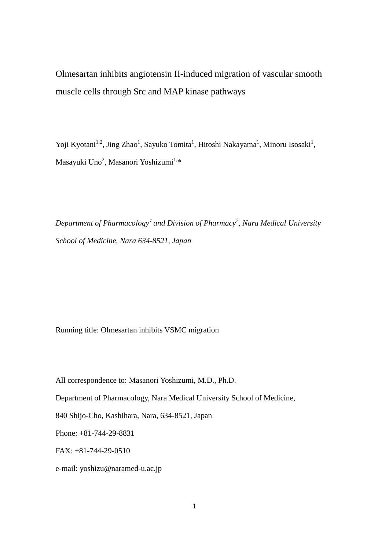Olmesartan inhibits angiotensin II-induced migration of vascular smooth muscle cells through Src and MAP kinase pathways

Yoji Kyotani<sup>1,2</sup>, Jing Zhao<sup>1</sup>, Sayuko Tomita<sup>1</sup>, Hitoshi Nakayama<sup>1</sup>, Minoru Isosaki<sup>1</sup>, Masayuki Uno<sup>2</sup>, Masanori Yoshizumi<sup>1,</sup>\*

*Department of Pharmacology*<sup>1</sup> *and Division of Pharmacy2 , Nara Medical University School of Medicine, Nara 634-8521, Japan*

Running title: Olmesartan inhibits VSMC migration

All correspondence to: Masanori Yoshizumi, M.D., Ph.D.

Department of Pharmacology, Nara Medical University School of Medicine,

840 Shijo-Cho, Kashihara, Nara, 634-8521, Japan

Phone: +81-744-29-8831

FAX: +81-744-29-0510

e-mail: yoshizu@naramed-u.ac.jp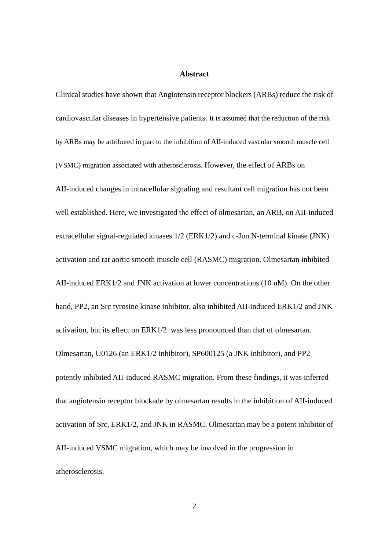#### **Abstract**

Clinical studies have shown that Angiotensin receptor blockers (ARBs) reduce the risk of cardiovascular diseases in hypertensive patients. It is assumed that the reduction of the risk by ARBs may be attributed in part to the inhibition of AII-induced vascular smooth muscle cell (VSMC) migration associated with atherosclerosis. However, the effect of ARBs on AII-induced changes in intracellular signaling and resultant cell migration has not been well established. Here, we investigated the effect of olmesartan, an ARB, on AII-induced extracellular signal-regulated kinases 1/2 (ERK1/2) and c-Jun N-terminal kinase (JNK) activation and rat aortic smooth muscle cell (RASMC) migration. Olmesartan inhibited AII-induced ERK1/2 and JNK activation at lower concentrations (10 nM). On the other hand, PP2, an Src tyrosine kinase inhibitor, also inhibited AII-induced ERK1/2 and JNK activation, but its effect on ERK1/2 was less pronounced than that of olmesartan. Olmesartan, U0126 (an ERK1/2 inhibitor), SP600125 (a JNK inhibitor), and PP2 potently inhibited AII-induced RASMC migration. From these findings, it was inferred that angiotensin receptor blockade by olmesartan results in the inhibition of AII-induced activation of Src, ERK1/2, and JNK in RASMC. Olmesartan may be a potent inhibitor of AII-induced VSMC migration, which may be involved in the progression in atherosclerosis.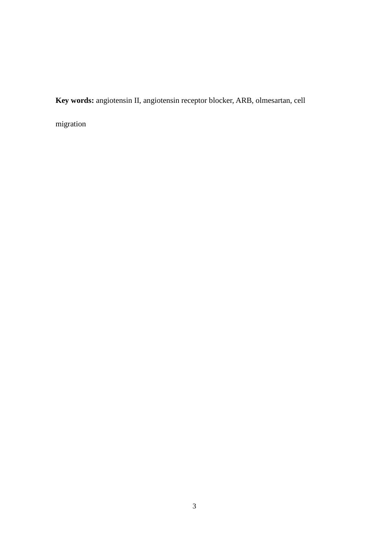**Key words:** angiotensin II, angiotensin receptor blocker, ARB, olmesartan, cell

migration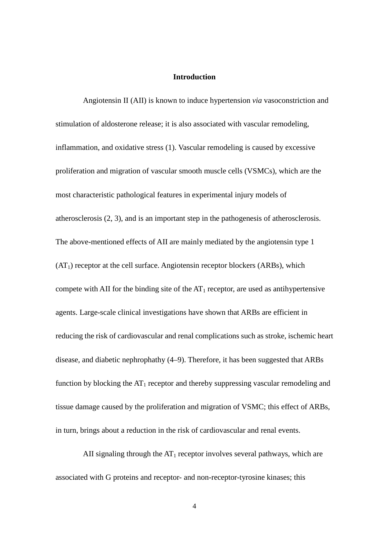## **Introduction**

Angiotensin II (AII) is known to induce hypertension *via* vasoconstriction and stimulation of aldosterone release; it is also associated with vascular remodeling, inflammation, and oxidative stress (1). Vascular remodeling is caused by excessive proliferation and migration of vascular smooth muscle cells (VSMCs), which are the most characteristic pathological features in experimental injury models of atherosclerosis (2, 3), and is an important step in the pathogenesis of atherosclerosis. The above-mentioned effects of AII are mainly mediated by the angiotensin type 1  $(AT<sub>1</sub>)$  receptor at the cell surface. Angiotensin receptor blockers (ARBs), which compete with AII for the binding site of the  $AT_1$  receptor, are used as antihypertensive agents. Large-scale clinical investigations have shown that ARBs are efficient in reducing the risk of cardiovascular and renal complications such as stroke, ischemic heart disease, and diabetic nephrophathy (4–9). Therefore, it has been suggested that ARBs function by blocking the  $AT_1$  receptor and thereby suppressing vascular remodeling and tissue damage caused by the proliferation and migration of VSMC; this effect of ARBs, in turn, brings about a reduction in the risk of cardiovascular and renal events.

AII signaling through the  $AT_1$  receptor involves several pathways, which are associated with G proteins and receptor- and non-receptor-tyrosine kinases; this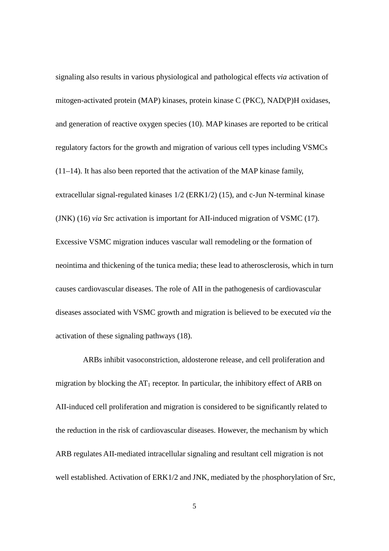signaling also results in various physiological and pathological effects *via* activation of mitogen-activated protein (MAP) kinases, protein kinase C (PKC), NAD(P)H oxidases, and generation of reactive oxygen species (10). MAP kinases are reported to be critical regulatory factors for the growth and migration of various cell types including VSMCs (11–14). It has also been reported that the activation of the MAP kinase family, extracellular signal-regulated kinases 1/2 (ERK1/2) (15), and c-Jun N-terminal kinase (JNK) (16) *via* Src activation is important for AII-induced migration of VSMC (17). Excessive VSMC migration induces vascular wall remodeling or the formation of neointima and thickening of the tunica media; these lead to atherosclerosis, which in turn causes cardiovascular diseases. The role of AII in the pathogenesis of cardiovascular diseases associated with VSMC growth and migration is believed to be executed *via* the activation of these signaling pathways (18).

ARBs inhibit vasoconstriction, aldosterone release, and cell proliferation and migration by blocking the  $AT_1$  receptor. In particular, the inhibitory effect of ARB on AII-induced cell proliferation and migration is considered to be significantly related to the reduction in the risk of cardiovascular diseases. However, the mechanism by which ARB regulates AII-mediated intracellular signaling and resultant cell migration is not well established. Activation of ERK1/2 and JNK, mediated by the phosphorylation of Src,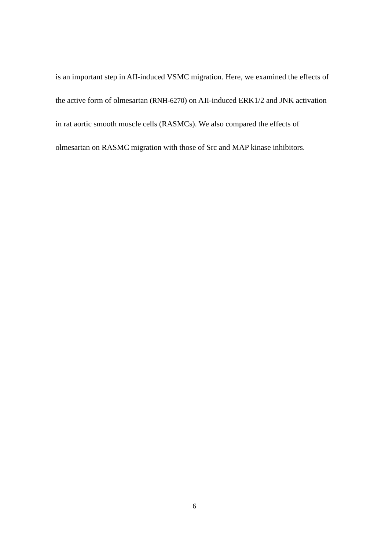is an important step in AII-induced VSMC migration. Here, we examined the effects of the active form of olmesartan (RNH-6270) on AII-induced ERK1/2 and JNK activation in rat aortic smooth muscle cells (RASMCs). We also compared the effects of olmesartan on RASMC migration with those of Src and MAP kinase inhibitors.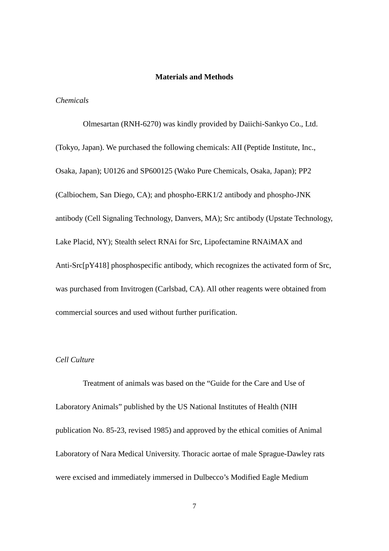## **Materials and Methods**

#### *Chemicals*

Olmesartan (RNH-6270) was kindly provided by Daiichi-Sankyo Co., Ltd. (Tokyo, Japan). We purchased the following chemicals: AII (Peptide Institute, Inc., Osaka, Japan); U0126 and SP600125 (Wako Pure Chemicals, Osaka, Japan); PP2 (Calbiochem, San Diego, CA); and phospho-ERK1/2 antibody and phospho-JNK antibody (Cell Signaling Technology, Danvers, MA); Src antibody (Upstate Technology, Lake Placid, NY); Stealth select RNAi for Src, Lipofectamine RNAiMAX and Anti-Src[pY418] phosphospecific antibody, which recognizes the activated form of Src, was purchased from Invitrogen (Carlsbad, CA). All other reagents were obtained from commercial sources and used without further purification.

# *Cell Culture*

Treatment of animals was based on the "Guide for the Care and Use of Laboratory Animals" published by the US National Institutes of Health (NIH publication No. 85-23, revised 1985) and approved by the ethical comities of Animal Laboratory of Nara Medical University. Thoracic aortae of male Sprague-Dawley rats were excised and immediately immersed in Dulbecco's Modified Eagle Medium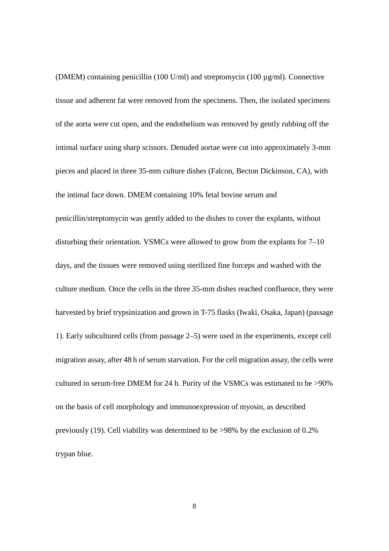(DMEM) containing penicillin (100 U/ml) and streptomycin (100 µg/ml). Connective tissue and adherent fat were removed from the specimens. Then, the isolated specimens of the aorta were cut open, and the endothelium was removed by gently rubbing off the intimal surface using sharp scissors. Denuded aortae were cut into approximately 3-mm pieces and placed in three 35-mm culture dishes (Falcon, Becton Dickinson, CA), with the intimal face down. DMEM containing 10% fetal bovine serum and penicillin/streptomycin was gently added to the dishes to cover the explants, without disturbing their orientation. VSMCs were allowed to grow from the explants for 7–10 days, and the tissues were removed using sterilized fine forceps and washed with the culture medium. Once the cells in the three 35-mm dishes reached confluence, they were harvested by brief trypsinization and grown in T-75 flasks (Iwaki, Osaka, Japan) (passage 1). Early subcultured cells (from passage 2–5) were used in the experiments, except cell migration assay, after 48 h of serum starvation. For the cell migration assay, the cells were cultured in serum-free DMEM for 24 h. Purity of the VSMCs was estimated to be >90% on the basis of cell morphology and immunoexpression of myosin, as described previously (19). Cell viability was determined to be >98% by the exclusion of 0.2% trypan blue.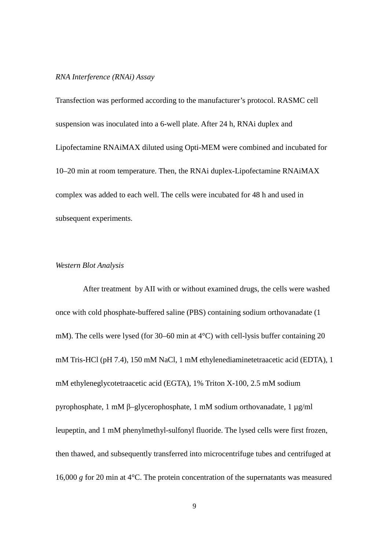## *RNA Interference (RNAi) Assay*

Transfection was performed according to the manufacturer's protocol. RASMC cell suspension was inoculated into a 6-well plate. After 24 h, RNAi duplex and Lipofectamine RNAiMAX diluted using Opti-MEM were combined and incubated for 10–20 min at room temperature. Then, the RNAi duplex-Lipofectamine RNAiMAX complex was added to each well. The cells were incubated for 48 h and used in subsequent experiments.

## *Western Blot Analysis*

After treatment by AII with or without examined drugs, the cells were washed once with cold phosphate-buffered saline (PBS) containing sodium orthovanadate (1 mM). The cells were lysed (for 30–60 min at 4°C) with cell-lysis buffer containing 20 mM Tris-HCl (pH 7.4), 150 mM NaCl, 1 mM ethylenediaminetetraacetic acid (EDTA), 1 mM ethyleneglycotetraacetic acid (EGTA), 1% Triton X-100, 2.5 mM sodium pyrophosphate, 1 mM β–glycerophosphate, 1 mM sodium orthovanadate, 1 µg/ml leupeptin, and 1 mM phenylmethyl-sulfonyl fluoride. The lysed cells were first frozen, then thawed, and subsequently transferred into microcentrifuge tubes and centrifuged at 16,000 *g* for 20 min at 4°C. The protein concentration of the supernatants was measured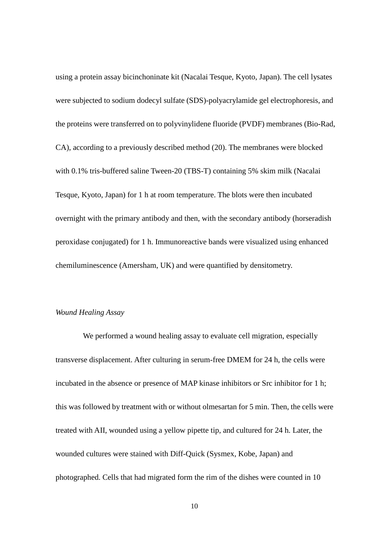using a protein assay bicinchoninate kit (Nacalai Tesque, Kyoto, Japan). The cell lysates were subjected to sodium dodecyl sulfate (SDS)-polyacrylamide gel electrophoresis, and the proteins were transferred on to polyvinylidene fluoride (PVDF) membranes (Bio-Rad, CA), according to a previously described method (20). The membranes were blocked with 0.1% tris-buffered saline Tween-20 (TBS-T) containing 5% skim milk (Nacalai Tesque, Kyoto, Japan) for 1 h at room temperature. The blots were then incubated overnight with the primary antibody and then, with the secondary antibody (horseradish peroxidase conjugated) for 1 h. Immunoreactive bands were visualized using enhanced chemiluminescence (Amersham, UK) and were quantified by densitometry.

# *Wound Healing Assay*

We performed a wound healing assay to evaluate cell migration, especially transverse displacement. After culturing in serum-free DMEM for 24 h, the cells were incubated in the absence or presence of MAP kinase inhibitors or Src inhibitor for 1 h; this was followed by treatment with or without olmesartan for 5 min. Then, the cells were treated with AII, wounded using a yellow pipette tip, and cultured for 24 h. Later, the wounded cultures were stained with Diff-Quick (Sysmex, Kobe, Japan) and photographed. Cells that had migrated form the rim of the dishes were counted in 10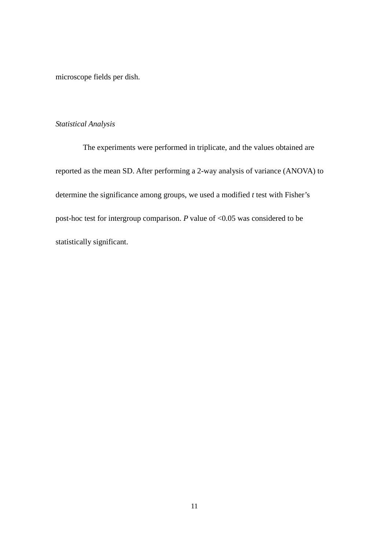microscope fields per dish.

## *Statistical Analysis*

The experiments were performed in triplicate, and the values obtained are reported as the mean SD. After performing a 2-way analysis of variance (ANOVA) to determine the significance among groups, we used a modified *t* test with Fisher's post-hoc test for intergroup comparison. *P* value of <0.05 was considered to be statistically significant.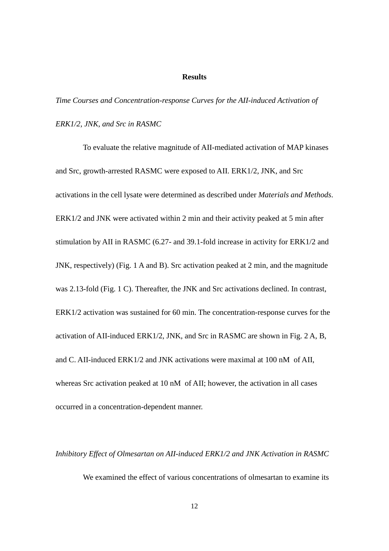### **Results**

*Time Courses and Concentration-response Curves for the AII-induced Activation of ERK1/2, JNK, and Src in RASMC*

To evaluate the relative magnitude of AII-mediated activation of MAP kinases and Src, growth-arrested RASMC were exposed to AII. ERK1/2, JNK, and Src activations in the cell lysate were determined as described under *Materials and Methods*. ERK1/2 and JNK were activated within 2 min and their activity peaked at 5 min after stimulation by AII in RASMC (6.27- and 39.1-fold increase in activity for ERK1/2 and JNK, respectively) (Fig. 1 A and B). Src activation peaked at 2 min, and the magnitude was 2.13-fold (Fig. 1 C). Thereafter, the JNK and Src activations declined. In contrast, ERK1/2 activation was sustained for 60 min. The concentration-response curves for the activation of AII-induced ERK1/2, JNK, and Src in RASMC are shown in Fig. 2 A, B, and C. AII-induced ERK1/2 and JNK activations were maximal at 100 nM of AII, whereas Src activation peaked at 10 nM of AII; however, the activation in all cases occurred in a concentration-dependent manner.

*Inhibitory Effect of Olmesartan on AII-induced ERK1/2 and JNK Activation in RASMC* We examined the effect of various concentrations of olmesartan to examine its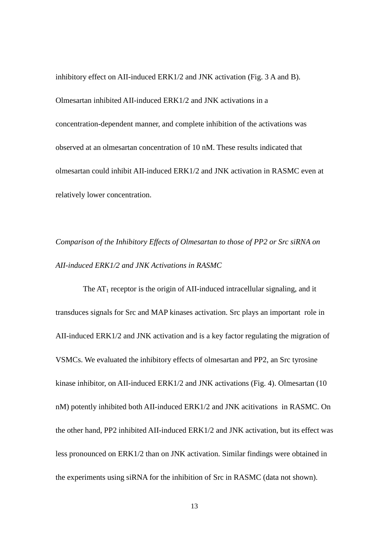inhibitory effect on AII-induced ERK1/2 and JNK activation (Fig. 3 A and B). Olmesartan inhibited AII-induced ERK1/2 and JNK activations in a concentration-dependent manner, and complete inhibition of the activations was observed at an olmesartan concentration of 10 nM. These results indicated that olmesartan could inhibit AII-induced ERK1/2 and JNK activation in RASMC even at relatively lower concentration.

*Comparison of the Inhibitory Effects of Olmesartan to those of PP2 or Src siRNA on AII-induced ERK1/2 and JNK Activations in RASMC*

The  $AT_1$  receptor is the origin of AII-induced intracellular signaling, and it transduces signals for Src and MAP kinases activation. Src plays an important role in AII-induced ERK1/2 and JNK activation and is a key factor regulating the migration of VSMCs. We evaluated the inhibitory effects of olmesartan and PP2, an Src tyrosine kinase inhibitor, on AII-induced ERK1/2 and JNK activations (Fig. 4). Olmesartan (10 nM) potently inhibited both AII-induced ERK1/2 and JNK acitivations in RASMC. On the other hand, PP2 inhibited AII-induced ERK1/2 and JNK activation, but its effect was less pronounced on ERK1/2 than on JNK activation. Similar findings were obtained in the experiments using siRNA for the inhibition of Src in RASMC (data not shown).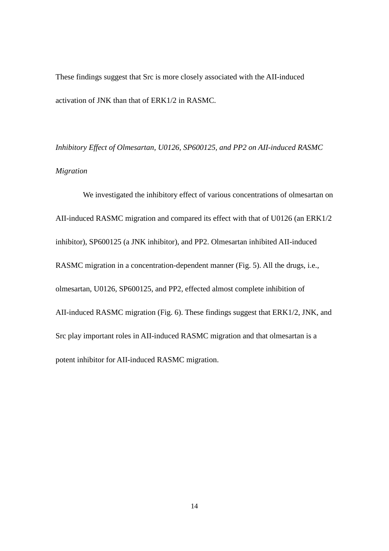These findings suggest that Src is more closely associated with the AII-induced activation of JNK than that of ERK1/2 in RASMC.

*Inhibitory Effect of Olmesartan, U0126, SP600125, and PP2 on AII-induced RASMC Migration*

We investigated the inhibitory effect of various concentrations of olmesartan on AII-induced RASMC migration and compared its effect with that of U0126 (an ERK1/2 inhibitor), SP600125 (a JNK inhibitor), and PP2. Olmesartan inhibited AII-induced RASMC migration in a concentration-dependent manner (Fig. 5). All the drugs, i.e., olmesartan, U0126, SP600125, and PP2, effected almost complete inhibition of AII-induced RASMC migration (Fig. 6). These findings suggest that ERK1/2, JNK, and Src play important roles in AII-induced RASMC migration and that olmesartan is a potent inhibitor for AII-induced RASMC migration.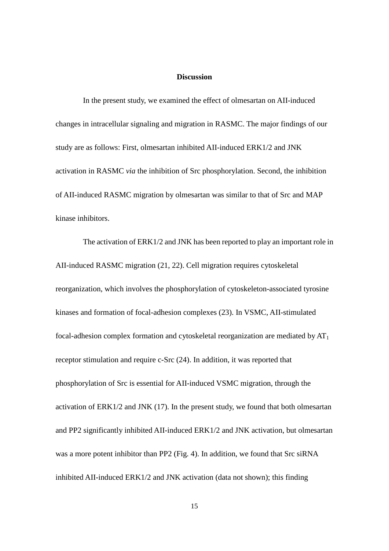## **Discussion**

In the present study, we examined the effect of olmesartan on AII-induced changes in intracellular signaling and migration in RASMC. The major findings of our study are as follows: First, olmesartan inhibited AII-induced ERK1/2 and JNK activation in RASMC *via* the inhibition of Src phosphorylation. Second, the inhibition of AII-induced RASMC migration by olmesartan was similar to that of Src and MAP kinase inhibitors.

The activation of ERK1/2 and JNK has been reported to play an important role in AII-induced RASMC migration (21, 22). Cell migration requires cytoskeletal reorganization, which involves the phosphorylation of cytoskeleton-associated tyrosine kinases and formation of focal-adhesion complexes (23). In VSMC, AII-stimulated focal-adhesion complex formation and cytoskeletal reorganization are mediated by  $AT<sub>1</sub>$ receptor stimulation and require c-Src (24). In addition, it was reported that phosphorylation of Src is essential for AII-induced VSMC migration, through the activation of ERK1/2 and JNK (17). In the present study, we found that both olmesartan and PP2 significantly inhibited AII-induced ERK1/2 and JNK activation, but olmesartan was a more potent inhibitor than PP2 (Fig. 4). In addition, we found that Src siRNA inhibited AII-induced ERK1/2 and JNK activation (data not shown); this finding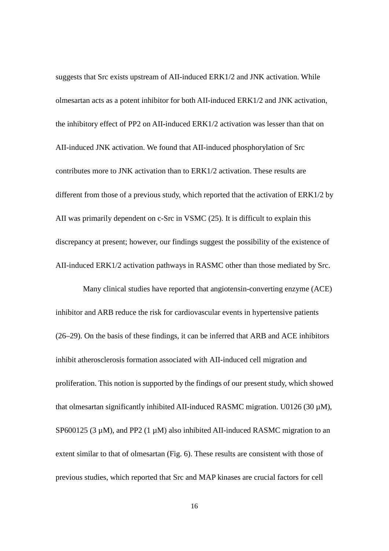suggests that Src exists upstream of AII-induced ERK1/2 and JNK activation. While olmesartan acts as a potent inhibitor for both AII-induced ERK1/2 and JNK activation, the inhibitory effect of PP2 on AII-induced ERK1/2 activation was lesser than that on AII-induced JNK activation. We found that AII-induced phosphorylation of Src contributes more to JNK activation than to ERK1/2 activation. These results are different from those of a previous study, which reported that the activation of ERK1/2 by AII was primarily dependent on c-Src in VSMC (25). It is difficult to explain this discrepancy at present; however, our findings suggest the possibility of the existence of AII-induced ERK1/2 activation pathways in RASMC other than those mediated by Src.

Many clinical studies have reported that angiotensin-converting enzyme (ACE) inhibitor and ARB reduce the risk for cardiovascular events in hypertensive patients (26–29). On the basis of these findings, it can be inferred that ARB and ACE inhibitors inhibit atherosclerosis formation associated with AII-induced cell migration and proliferation. This notion is supported by the findings of our present study, which showed that olmesartan significantly inhibited AII-induced RASMC migration. U0126 (30  $\mu$ M), SP600125 (3  $\mu$ M), and PP2 (1  $\mu$ M) also inhibited AII-induced RASMC migration to an extent similar to that of olmesartan (Fig. 6). These results are consistent with those of previous studies, which reported that Src and MAP kinases are crucial factors for cell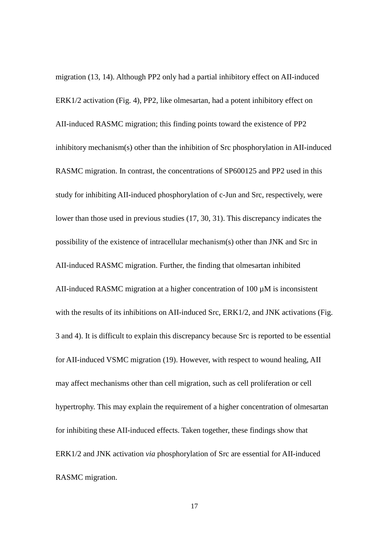migration (13, 14). Although PP2 only had a partial inhibitory effect on AII-induced ERK1/2 activation (Fig. 4), PP2, like olmesartan, had a potent inhibitory effect on AII-induced RASMC migration; this finding points toward the existence of PP2 inhibitory mechanism(s) other than the inhibition of Src phosphorylation in AII-induced RASMC migration. In contrast, the concentrations of SP600125 and PP2 used in this study for inhibiting AII-induced phosphorylation of c-Jun and Src, respectively, were lower than those used in previous studies (17, 30, 31). This discrepancy indicates the possibility of the existence of intracellular mechanism(s) other than JNK and Src in AII-induced RASMC migration. Further, the finding that olmesartan inhibited AII-induced RASMC migration at a higher concentration of  $100 \mu$ M is inconsistent with the results of its inhibitions on AII-induced Src, ERK1/2, and JNK activations (Fig. 3 and 4). It is difficult to explain this discrepancy because Src is reported to be essential for AII-induced VSMC migration (19). However, with respect to wound healing, AII may affect mechanisms other than cell migration, such as cell proliferation or cell hypertrophy. This may explain the requirement of a higher concentration of olmesartan for inhibiting these AII-induced effects. Taken together, these findings show that ERK1/2 and JNK activation *via* phosphorylation of Src are essential for AII-induced RASMC migration.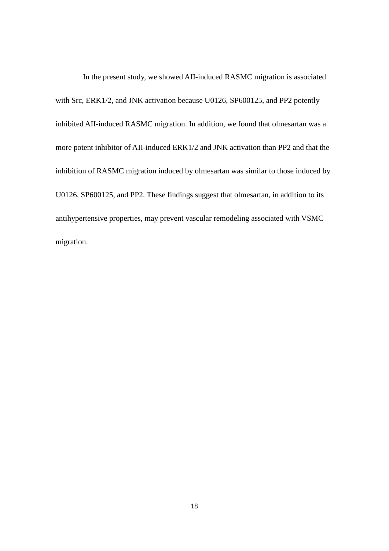In the present study, we showed AII-induced RASMC migration is associated with Src, ERK1/2, and JNK activation because U0126, SP600125, and PP2 potently inhibited AII-induced RASMC migration. In addition, we found that olmesartan was a more potent inhibitor of AII-induced ERK1/2 and JNK activation than PP2 and that the inhibition of RASMC migration induced by olmesartan was similar to those induced by U0126, SP600125, and PP2. These findings suggest that olmesartan, in addition to its antihypertensive properties, may prevent vascular remodeling associated with VSMC migration.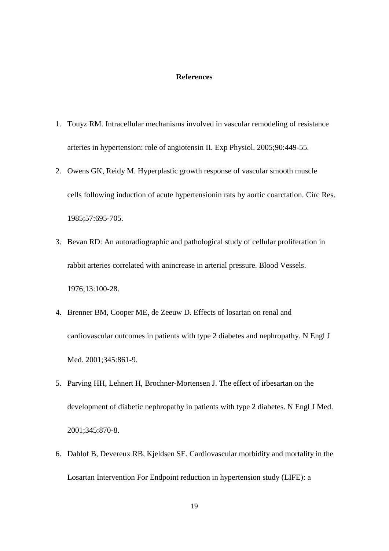## **References**

- 1. Touyz RM. Intracellular mechanisms involved in vascular remodeling of resistance arteries in hypertension: role of angiotensin II. Exp Physiol. 2005;90:449-55.
- 2. Owens GK, Reidy M. Hyperplastic growth response of vascular smooth muscle cells following induction of acute hypertensionin rats by aortic coarctation. Circ Res. 1985;57:695-705.
- 3. Bevan RD: An autoradiographic and pathological study of cellular proliferation in rabbit arteries correlated with anincrease in arterial pressure. Blood Vessels. 1976;13:100-28.
- 4. Brenner BM, Cooper ME, de Zeeuw D. Effects of losartan on renal and cardiovascular outcomes in patients with type 2 diabetes and nephropathy. N Engl J Med. 2001;345:861-9.
- 5. Parving HH, Lehnert H, Brochner-Mortensen J. The effect of irbesartan on the development of diabetic nephropathy in patients with type 2 diabetes. N Engl J Med. 2001;345:870-8.
- 6. Dahlof B, Devereux RB, Kjeldsen SE. Cardiovascular morbidity and mortality in the Losartan Intervention For Endpoint reduction in hypertension study (LIFE): a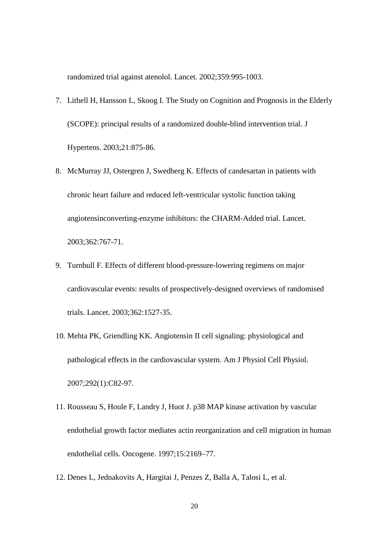randomized trial against atenolol. Lancet. 2002;359:995-1003.

- 7. Lithell H, Hansson L, Skoog I. The Study on Cognition and Prognosis in the Elderly (SCOPE): principal results of a randomized double-blind intervention trial. J Hypertens. 2003;21:875-86.
- 8. McMurray JJ, Ostergren J, Swedberg K. Effects of candesartan in patients with chronic heart failure and reduced left-ventricular systolic function taking angiotensinconverting-enzyme inhibitors: the CHARM-Added trial. Lancet. 2003;362:767-71.
- 9. Turnbull F. Effects of different blood-pressure-lowering regimens on major cardiovascular events: results of prospectively-designed overviews of randomised trials. Lancet. 2003;362:1527-35.
- 10. [Mehta PK,](http://www.ncbi.nlm.nih.gov/sites/entrez?Db=pubmed&Cmd=Search&Term=%22Mehta%20PK%22%5BAuthor%5D&itool=EntrezSystem2.PEntrez.Pubmed.Pubmed_ResultsPanel.Pubmed_DiscoveryPanel.Pubmed_RVAbstractPlus) [Griendling KK.](http://www.ncbi.nlm.nih.gov/sites/entrez?Db=pubmed&Cmd=Search&Term=%22Griendling%20KK%22%5BAuthor%5D&itool=EntrezSystem2.PEntrez.Pubmed.Pubmed_ResultsPanel.Pubmed_DiscoveryPanel.Pubmed_RVAbstractPlus) Angiotensin II cell signaling: physiological and pathological effects in the cardiovascular system. [Am J Physiol Cell Physiol.](javascript:AL_get(this,%20) 2007;292(1):C82-97.
- 11. Rousseau S, Houle F, Landry J, Huot J. p38 MAP kinase activation by vascular endothelial growth factor mediates actin reorganization and cell migration in human endothelial cells. Oncogene. 1997;15:2169–77.
- 12. Denes L, Jednakovits A, Hargitai J, Penzes Z, Balla A, Talosi L, et al.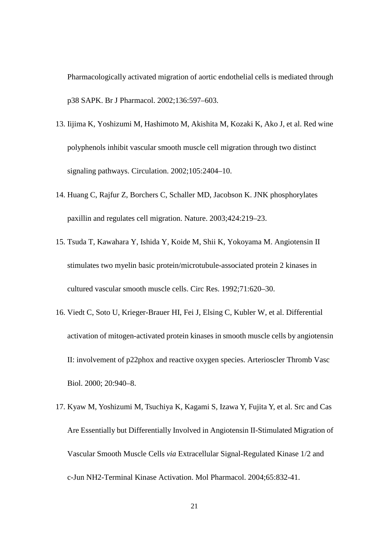Pharmacologically activated migration of aortic endothelial cells is mediated through p38 SAPK. Br J Pharmacol. 2002;136:597–603.

- 13. Iijima K, Yoshizumi M, Hashimoto M, Akishita M, Kozaki K, Ako J, et al. Red wine polyphenols inhibit vascular smooth muscle cell migration through two distinct signaling pathways. Circulation. 2002;105:2404–10.
- 14. Huang C, Rajfur Z, Borchers C, Schaller MD, Jacobson K. JNK phosphorylates paxillin and regulates cell migration. Nature. 2003;424:219–23.
- 15. Tsuda T, Kawahara Y, Ishida Y, Koide M, Shii K, Yokoyama M. Angiotensin II stimulates two myelin basic protein/microtubule-associated protein 2 kinases in cultured vascular smooth muscle cells. Circ Res. 1992;71:620–30.
- 16. Viedt C, Soto U, Krieger-Brauer HI, Fei J, Elsing C, Kubler W, et al. Differential activation of mitogen-activated protein kinases in smooth muscle cells by angiotensin II: involvement of p22phox and reactive oxygen species. Arterioscler Thromb Vasc Biol. 2000; 20:940–8.
- 17. Kyaw M, Yoshizumi M, Tsuchiya K, Kagami S, Izawa Y, Fujita Y, et al. Src and Cas Are Essentially but Differentially Involved in Angiotensin II-Stimulated Migration of Vascular Smooth Muscle Cells *via* Extracellular Signal-Regulated Kinase 1/2 and c-Jun NH2-Terminal Kinase Activation. Mol Pharmacol. 2004;65:832-41.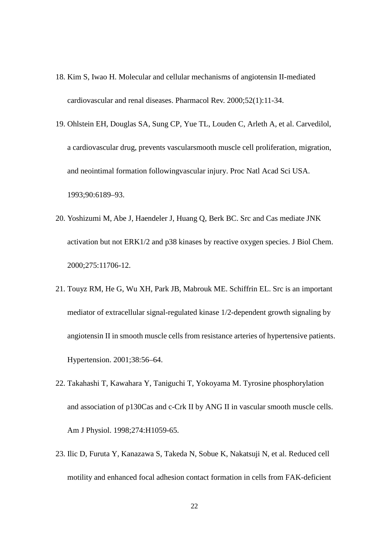- 18. [Kim S,](http://www.ncbi.nlm.nih.gov/sites/entrez?Db=pubmed&Cmd=Search&Term=%22Kim%20S%22%5BAuthor%5D&itool=EntrezSystem2.PEntrez.Pubmed.Pubmed_ResultsPanel.Pubmed_DiscoveryPanel.Pubmed_RVAbstractPlus) [Iwao H.](http://www.ncbi.nlm.nih.gov/sites/entrez?Db=pubmed&Cmd=Search&Term=%22Iwao%20H%22%5BAuthor%5D&itool=EntrezSystem2.PEntrez.Pubmed.Pubmed_ResultsPanel.Pubmed_DiscoveryPanel.Pubmed_RVAbstractPlus) Molecular and cellular mechanisms of angiotensin II-mediated cardiovascular and renal diseases. Pharmacol Rev. 2000;52(1):11-34.
- 19. Ohlstein EH, Douglas SA, Sung CP, Yue TL, Louden C, Arleth A, et al. Carvedilol, a cardiovascular drug, prevents vascularsmooth muscle cell proliferation, migration, and neointimal formation followingvascular injury. Proc Natl Acad Sci USA. 1993;90:6189–93.
- 20. Yoshizumi M, Abe J, Haendeler J, Huang Q, Berk BC. Src and Cas mediate JNK activation but not ERK1/2 and p38 kinases by reactive oxygen species. J Biol Chem. 2000;275:11706-12.
- 21. Touyz RM, He G, Wu XH, Park JB, Mabrouk ME. Schiffrin EL. Src is an important mediator of extracellular signal-regulated kinase 1/2-dependent growth signaling by angiotensin II in smooth muscle cells from resistance arteries of hypertensive patients. Hypertension. 2001;38:56–64.
- 22. Takahashi T, Kawahara Y, Taniguchi T, Yokoyama M. Tyrosine phosphorylation and association of p130Cas and c-Crk II by ANG II in vascular smooth muscle cells. Am J Physiol. 1998;274:H1059-65.
- 23. Ilic D, Furuta Y, Kanazawa S, Takeda N, Sobue K, Nakatsuji N, et al. Reduced cell motility and enhanced focal adhesion contact formation in cells from FAK-deficient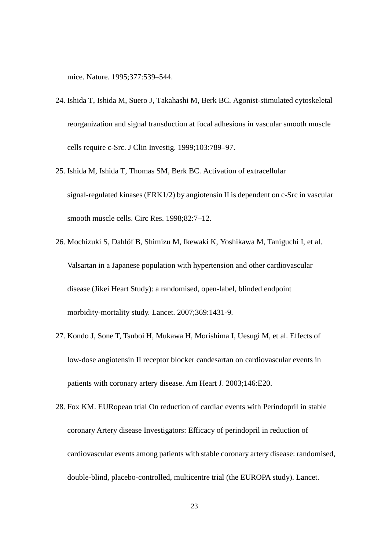mice. Nature. 1995;377:539–544.

- 24. Ishida T, Ishida M, Suero J, Takahashi M, Berk BC. Agonist-stimulated cytoskeletal reorganization and signal transduction at focal adhesions in vascular smooth muscle cells require c-Src. J Clin Investig. 1999;103:789–97.
- 25. Ishida M, Ishida T, Thomas SM, Berk BC. Activation of extracellular signal-regulated kinases (ERK1/2) by angiotensin II is dependent on c-Src in vascular smooth muscle cells. Circ Res. 1998;82:7–12.
- 26. Mochizuki S, Dahlöf B, Shimizu M, [Ikewaki K,](http://www.ncbi.nlm.nih.gov/sites/entrez?Db=pubmed&Cmd=Search&Term=%22Ikewaki%20K%22%5BAuthor%5D&itool=EntrezSystem2.PEntrez.Pubmed.Pubmed_ResultsPanel.Pubmed_DiscoveryPanel.Pubmed_RVAbstractPlus) [Yoshikawa M,](http://www.ncbi.nlm.nih.gov/sites/entrez?Db=pubmed&Cmd=Search&Term=%22Yoshikawa%20M%22%5BAuthor%5D&itool=EntrezSystem2.PEntrez.Pubmed.Pubmed_ResultsPanel.Pubmed_DiscoveryPanel.Pubmed_RVAbstractPlus) [Taniguchi I,](http://www.ncbi.nlm.nih.gov/sites/entrez?Db=pubmed&Cmd=Search&Term=%22Taniguchi%20I%22%5BAuthor%5D&itool=EntrezSystem2.PEntrez.Pubmed.Pubmed_ResultsPanel.Pubmed_DiscoveryPanel.Pubmed_RVAbstractPlus) et al. Valsartan in a Japanese population with hypertension and other cardiovascular disease (Jikei Heart Study): a randomised, open-label, blinded endpoint morbidity-mortality study. Lancet. 2007;369:1431-9.
- 27. Kondo J, Sone T, Tsuboi H, [Mukawa H,](http://www.ncbi.nlm.nih.gov/sites/entrez?Db=pubmed&Cmd=Search&Term=%22Mukawa%20H%22%5BAuthor%5D&itool=EntrezSystem2.PEntrez.Pubmed.Pubmed_ResultsPanel.Pubmed_DiscoveryPanel.Pubmed_RVAbstractPlus) [Morishima I,](http://www.ncbi.nlm.nih.gov/sites/entrez?Db=pubmed&Cmd=Search&Term=%22Morishima%20I%22%5BAuthor%5D&itool=EntrezSystem2.PEntrez.Pubmed.Pubmed_ResultsPanel.Pubmed_DiscoveryPanel.Pubmed_RVAbstractPlus) [Uesugi M,](http://www.ncbi.nlm.nih.gov/sites/entrez?Db=pubmed&Cmd=Search&Term=%22Uesugi%20M%22%5BAuthor%5D&itool=EntrezSystem2.PEntrez.Pubmed.Pubmed_ResultsPanel.Pubmed_DiscoveryPanel.Pubmed_RVAbstractPlus) et al. Effects of low-dose angiotensin II receptor blocker candesartan on cardiovascular events in patients with coronary artery disease. Am Heart J. 2003;146:E20.
- 28. [Fox KM.](http://www.ncbi.nlm.nih.gov/sites/entrez?Db=pubmed&Cmd=Search&Term=%22Fox%20KM%22%5BAuthor%5D&itool=EntrezSystem2.PEntrez.Pubmed.Pubmed_ResultsPanel.Pubmed_DiscoveryPanel.Pubmed_RVAbstractPlus) [EURopean trial On reduction of cardiac events with Perindopril in stable](http://www.ncbi.nlm.nih.gov/sites/entrez?Db=pubmed&Cmd=Search&Term=%22EURopean%20trial%20On%20reduction%20of%20cardiac%20events%20with%20Perindopril%20in%20stable%20coronary%20Artery%20disease%20Investigators%22%5BCorporate%20Author%5D&itool=EntrezSystem2.PEntrez.Pubmed.Pubmed_ResultsPanel.Pubmed_DiscoveryPanel.Pubmed_RVAbstractPlus)  [coronary Artery disease Investigators:](http://www.ncbi.nlm.nih.gov/sites/entrez?Db=pubmed&Cmd=Search&Term=%22EURopean%20trial%20On%20reduction%20of%20cardiac%20events%20with%20Perindopril%20in%20stable%20coronary%20Artery%20disease%20Investigators%22%5BCorporate%20Author%5D&itool=EntrezSystem2.PEntrez.Pubmed.Pubmed_ResultsPanel.Pubmed_DiscoveryPanel.Pubmed_RVAbstractPlus) Efficacy of perindopril in reduction of cardiovascular events among patients with stable coronary artery disease: randomised, double-blind, placebo-controlled, multicentre trial (the EUROPA study). Lancet.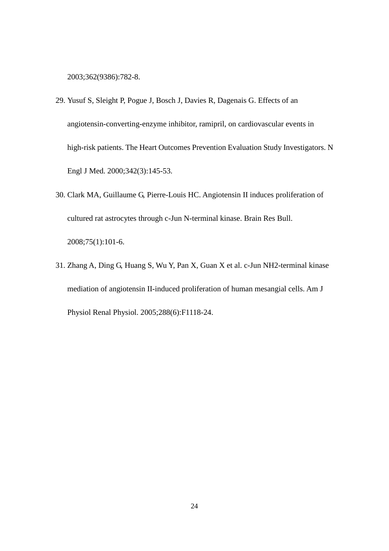2003;362(9386):782-8.

- 29. Yusuf S, Sleight P, [Pogue J,](http://www.ncbi.nlm.nih.gov/sites/entrez?Db=pubmed&Cmd=Search&Term=%22Pogue%20J%22%5BAuthor%5D&itool=EntrezSystem2.PEntrez.Pubmed.Pubmed_ResultsPanel.Pubmed_DiscoveryPanel.Pubmed_RVAbstractPlus) [Bosch J,](http://www.ncbi.nlm.nih.gov/sites/entrez?Db=pubmed&Cmd=Search&Term=%22Bosch%20J%22%5BAuthor%5D&itool=EntrezSystem2.PEntrez.Pubmed.Pubmed_ResultsPanel.Pubmed_DiscoveryPanel.Pubmed_RVAbstractPlus) [Davies R,](http://www.ncbi.nlm.nih.gov/sites/entrez?Db=pubmed&Cmd=Search&Term=%22Davies%20R%22%5BAuthor%5D&itool=EntrezSystem2.PEntrez.Pubmed.Pubmed_ResultsPanel.Pubmed_DiscoveryPanel.Pubmed_RVAbstractPlus) [Dagenais G.](http://www.ncbi.nlm.nih.gov/sites/entrez?Db=pubmed&Cmd=Search&Term=%22Dagenais%20G%22%5BAuthor%5D&itool=EntrezSystem2.PEntrez.Pubmed.Pubmed_ResultsPanel.Pubmed_DiscoveryPanel.Pubmed_RVAbstractPlus) Effects of an angiotensin-converting-enzyme inhibitor, ramipril, on cardiovascular events in high-risk patients. The Heart Outcomes Prevention Evaluation Study Investigators. N Engl J Med. 2000;342(3):145-53.
- 30. [Clark MA,](http://www.ncbi.nlm.nih.gov/sites/entrez?Db=pubmed&Cmd=Search&Term=%22Clark%20MA%22%5BAuthor%5D&itool=EntrezSystem2.PEntrez.Pubmed.Pubmed_ResultsPanel.Pubmed_DiscoveryPanel.Pubmed_RVAbstractPlus) [Guillaume G,](http://www.ncbi.nlm.nih.gov/sites/entrez?Db=pubmed&Cmd=Search&Term=%22Guillaume%20G%22%5BAuthor%5D&itool=EntrezSystem2.PEntrez.Pubmed.Pubmed_ResultsPanel.Pubmed_DiscoveryPanel.Pubmed_RVAbstractPlus) [Pierre-Louis HC.](http://www.ncbi.nlm.nih.gov/sites/entrez?Db=pubmed&Cmd=Search&Term=%22Pierre-Louis%20HC%22%5BAuthor%5D&itool=EntrezSystem2.PEntrez.Pubmed.Pubmed_ResultsPanel.Pubmed_DiscoveryPanel.Pubmed_RVAbstractPlus) Angiotensin II induces proliferation of cultured rat astrocytes through c-Jun N-terminal kinase. [Brain Res Bull.](javascript:AL_get(this,%20) 2008;75(1):101-6.
- 31. [Zhang A,](http://www.ncbi.nlm.nih.gov/sites/entrez?Db=pubmed&Cmd=Search&Term=%22Zhang%20A%22%5BAuthor%5D&itool=EntrezSystem2.PEntrez.Pubmed.Pubmed_ResultsPanel.Pubmed_DiscoveryPanel.Pubmed_RVAbstractPlus) [Ding G,](http://www.ncbi.nlm.nih.gov/sites/entrez?Db=pubmed&Cmd=Search&Term=%22Ding%20G%22%5BAuthor%5D&itool=EntrezSystem2.PEntrez.Pubmed.Pubmed_ResultsPanel.Pubmed_DiscoveryPanel.Pubmed_RVAbstractPlus) [Huang S,](http://www.ncbi.nlm.nih.gov/sites/entrez?Db=pubmed&Cmd=Search&Term=%22Huang%20S%22%5BAuthor%5D&itool=EntrezSystem2.PEntrez.Pubmed.Pubmed_ResultsPanel.Pubmed_DiscoveryPanel.Pubmed_RVAbstractPlus) [Wu Y,](http://www.ncbi.nlm.nih.gov/sites/entrez?Db=pubmed&Cmd=Search&Term=%22Wu%20Y%22%5BAuthor%5D&itool=EntrezSystem2.PEntrez.Pubmed.Pubmed_ResultsPanel.Pubmed_DiscoveryPanel.Pubmed_RVAbstractPlus) [Pan X,](http://www.ncbi.nlm.nih.gov/sites/entrez?Db=pubmed&Cmd=Search&Term=%22Pan%20X%22%5BAuthor%5D&itool=EntrezSystem2.PEntrez.Pubmed.Pubmed_ResultsPanel.Pubmed_DiscoveryPanel.Pubmed_RVAbstractPlus) [Guan X](http://www.ncbi.nlm.nih.gov/sites/entrez?Db=pubmed&Cmd=Search&Term=%22Guan%20X%22%5BAuthor%5D&itool=EntrezSystem2.PEntrez.Pubmed.Pubmed_ResultsPanel.Pubmed_DiscoveryPanel.Pubmed_RVAbstractPlus) et al. c-Jun NH2-terminal kinase mediation of angiotensin II-induced proliferation of human mesangial cells. [Am J](javascript:AL_get(this,%20)  [Physiol Renal Physiol.](javascript:AL_get(this,%20) 2005;288(6):F1118-24.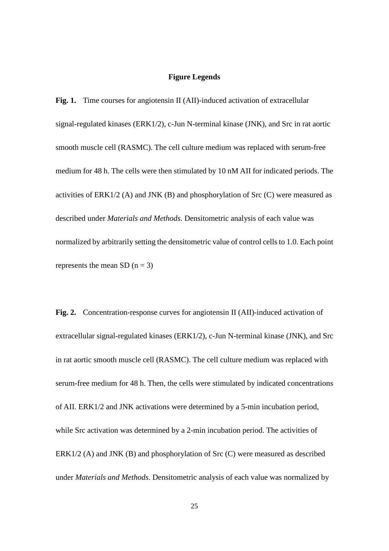### **Figure Legends**

**Fig. 1.** Time courses for angiotensin II (AII)-induced activation of extracellular signal-regulated kinases (ERK1/2), c-Jun N-terminal kinase (JNK), and Src in rat aortic smooth muscle cell (RASMC). The cell culture medium was replaced with serum-free medium for 48 h. The cells were then stimulated by 10 nM AII for indicated periods. The activities of ERK1/2 (A) and JNK (B) and phosphorylation of Src (C) were measured as described under *Materials and Methods*. Densitometric analysis of each value was normalized by arbitrarily setting the densitometric value of control cells to 1.0. Each point represents the mean SD  $(n = 3)$ 

**Fig. 2.** Concentration-response curves for angiotensin II (AII)-induced activation of extracellular signal-regulated kinases (ERK1/2), c-Jun N-terminal kinase (JNK), and Src in rat aortic smooth muscle cell (RASMC). The cell culture medium was replaced with serum-free medium for 48 h. Then, the cells were stimulated by indicated concentrations of AII. ERK1/2 and JNK activations were determined by a 5-min incubation period, while Src activation was determined by a 2-min incubation period. The activities of ERK1/2 (A) and JNK (B) and phosphorylation of Src (C) were measured as described under *Materials and Methods*. Densitometric analysis of each value was normalized by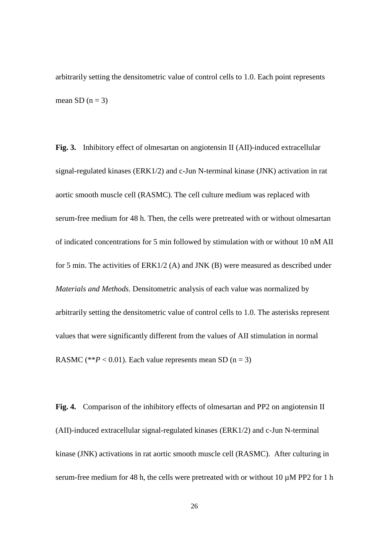arbitrarily setting the densitometric value of control cells to 1.0. Each point represents mean SD  $(n = 3)$ 

**Fig. 3.** Inhibitory effect of olmesartan on angiotensin II (AII)-induced extracellular signal-regulated kinases (ERK1/2) and c-Jun N-terminal kinase (JNK) activation in rat aortic smooth muscle cell (RASMC). The cell culture medium was replaced with serum-free medium for 48 h. Then, the cells were pretreated with or without olmesartan of indicated concentrations for 5 min followed by stimulation with or without 10 nM AII for 5 min. The activities of ERK1/2 (A) and JNK (B) were measured as described under *Materials and Methods*. Densitometric analysis of each value was normalized by arbitrarily setting the densitometric value of control cells to 1.0. The asterisks represent values that were significantly different from the values of AII stimulation in normal RASMC (\*\* $P < 0.01$ ). Each value represents mean SD (n = 3)

**Fig. 4.** Comparison of the inhibitory effects of olmesartan and PP2 on angiotensin II (AII)-induced extracellular signal-regulated kinases (ERK1/2) and c-Jun N-terminal kinase (JNK) activations in rat aortic smooth muscle cell (RASMC). After culturing in serum-free medium for 48 h, the cells were pretreated with or without 10  $\mu$ M PP2 for 1 h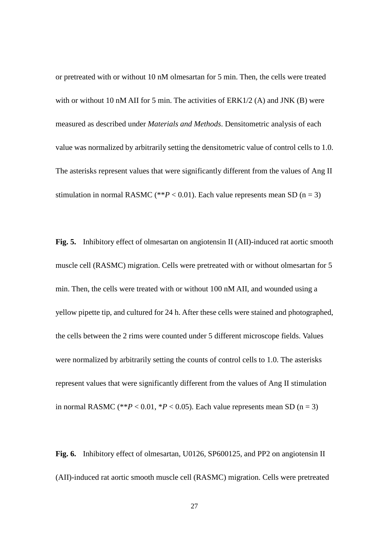or pretreated with or without 10 nM olmesartan for 5 min. Then, the cells were treated with or without 10 nM AII for 5 min. The activities of  $ERK1/2$  (A) and JNK (B) were measured as described under *Materials and Methods*. Densitometric analysis of each value was normalized by arbitrarily setting the densitometric value of control cells to 1.0. The asterisks represent values that were significantly different from the values of Ang II stimulation in normal RASMC (\*\* $P < 0.01$ ). Each value represents mean SD (n = 3)

**Fig. 5.** Inhibitory effect of olmesartan on angiotensin II (AII)-induced rat aortic smooth muscle cell (RASMC) migration. Cells were pretreated with or without olmesartan for 5 min. Then, the cells were treated with or without 100 nM AII, and wounded using a yellow pipette tip, and cultured for 24 h. After these cells were stained and photographed, the cells between the 2 rims were counted under 5 different microscope fields. Values were normalized by arbitrarily setting the counts of control cells to 1.0. The asterisks represent values that were significantly different from the values of Ang II stimulation in normal RASMC (\*\* $P < 0.01$ , \* $P < 0.05$ ). Each value represents mean SD (n = 3)

**Fig. 6.** Inhibitory effect of olmesartan, U0126, SP600125, and PP2 on angiotensin II (AII)-induced rat aortic smooth muscle cell (RASMC) migration. Cells were pretreated